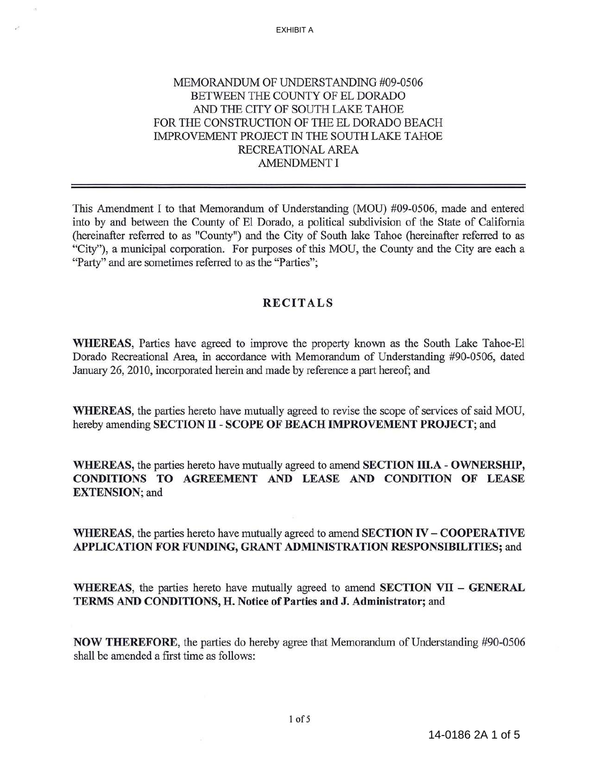# MEMORANDUM OF UNDERSTANDING #09-0506 BETWEEN THE COUNTY OF EL DORADO AND THE CITY OF SOUTH LAKE TAHOE FOR THE CONSTRUCTION OF THE EL DORADO BEACH IMPROVEMENT PROJECT IN THE SOUTH LAKE TAHOE RECREATIONAL AREA AMENDMENT I

This Amendment I to that Memorandum of Understanding (MOU) #09-0506, made and entered into by and between the County of El Dorado, a political subdivision of the State of California (hereinafter referred to as "County") and the City of South lake Tahoe (hereinafter referred to as "City"), a municipal corporation. For purposes of this MOU, the County and the City are each a "Party" and are sometimes referred to as the "Parties";

## **RECITALS**

**WHEREAS,** Parties have agreed to improve the property known as the South Lake Tahoe-El Dorado Recreational Area, in accordance with Memorandum of Understanding #90-0506, dated January 26, 2010, incorporated herein and made by reference a part hereof; and

**WHEREAS,** the parties hereto have mutually agreed to revise the scope of services of said MOU, hereby amending **SECTION II- SCOPE OF BEACH IMPROVEMENT PROJECT;** and

**WHEREAS, the parties hereto have mutually agreed to amend <b>SECTION III.A** - OWNERSHIP, **CONDITIONS TO AGREEMENT AND LEASE AND CONDITION OF LEASE EXTENSION;** and

**WHEREAS,** the parties hereto have mutually agreed to amend **SECTION IV-COOPERATIVE APPLICATION FOR FUNDING, GRANT ADMINISTRATION RESPONSIBILITIES;** and

**WHEREAS,** the parties hereto have mutually agreed to amend **SECTION VII- GENERAL TERMS AND CONDITIONS, H. Notice of Parties and J. Administrator;** and

**NOW THEREFORE,** the parties do hereby agree that Memorandum of Understanding #90-0506 shall be amended a first time as follows:

14-0186 2A 1 of 5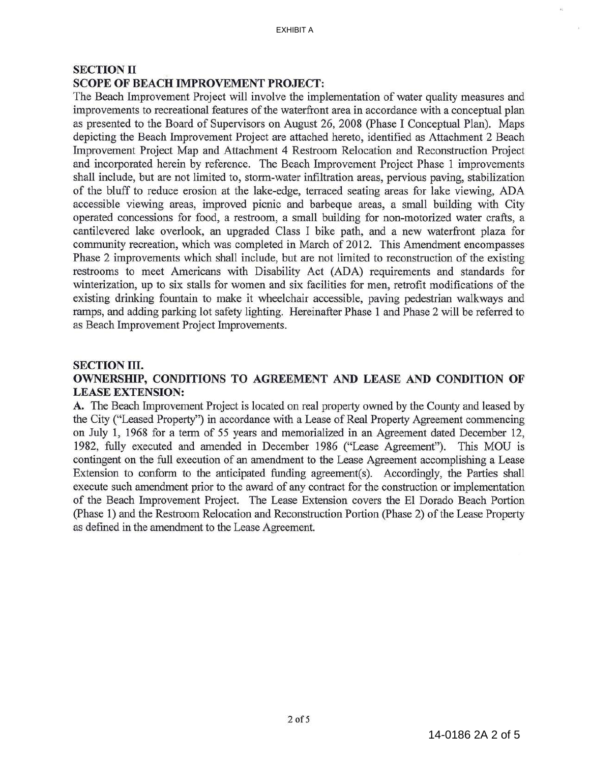# **SECTION II**

#### **SCOPE OF BEACH IMPROVEMENT PROJECT:**

The Beach Improvement Project will involve the implementation of water quality measures and improvements to recreational features of the waterfront area in accordance with a conceptual plan as presented to the Board of Supervisors on August 26, 2008 (Phase I Conceptual Plan). Maps depicting the Beach Improvement Project are attached hereto, identified as Attachment 2 Beach Improvement Project Map and Attachment 4 Restroom Relocation and Reconstruction Project and incorporated herein by reference. The Beach Improvement Project Phase 1 improvements shall include, but are not limited to, storm-water infiltration areas, pervious paving, stabilization of the bluff to reduce erosion at the lake-edge, terraced seating areas for lake viewing, ADA accessible viewing areas, improved picnic and barbeque areas, a small building with City operated concessions for food, a restroom, a small building for non-motorized water crafts, a cantilevered lake overlook, an upgraded Class I bike path, and a new waterfront plaza for community recreation, which was completed in March of 2012. This Amendment encompasses Phase 2 improvements which shall include, but are not limited to reconstruction of the existing restrooms to meet Americans with Disability Act (ADA) requirements and standards for winterization, up to six stalls for women and six facilities for men, retrofit modifications of the existing drinking fountain to make it wheelchair accessible, paving pedestrian walkways and ramps, and adding parking lot safety lighting. Hereinafter Phase **1** and Phase 2 will be referred to as Beach Improvement Project Improvements.

#### **SECTION III.**

## **OWNERSHIP, CONDITIONS TO AGREEMENT AND LEASE AND CONDITION OF LEASE EXTENSION:**

A. The Beach Improvement Project is located on real property owned by the County and leased by the City ("Leased Property") in accordance with a Lease of Real Property Agreement commencing on July 1, 1968 for a term of 55 years and memorialized in an Agreement dated December 12, 1982, fully executed and amended in December 1986 ("Lease Agreement"). This MOU is contingent on the full execution of an amendment to the Lease Agreement accomplishing a Lease Extension to conform to the anticipated funding agreement(s). Accordingly, the Parties shall execute such amendment prior to the award of any contract for the construction or implementation of the Beach Improvement Project. The Lease Extension covers the El Dorado Beach Portion (Phase 1) and the Restroom Relocation and Reconstruction Portion (Phase 2) of the Lease Property as defined in the amendment to the Lease Agreement.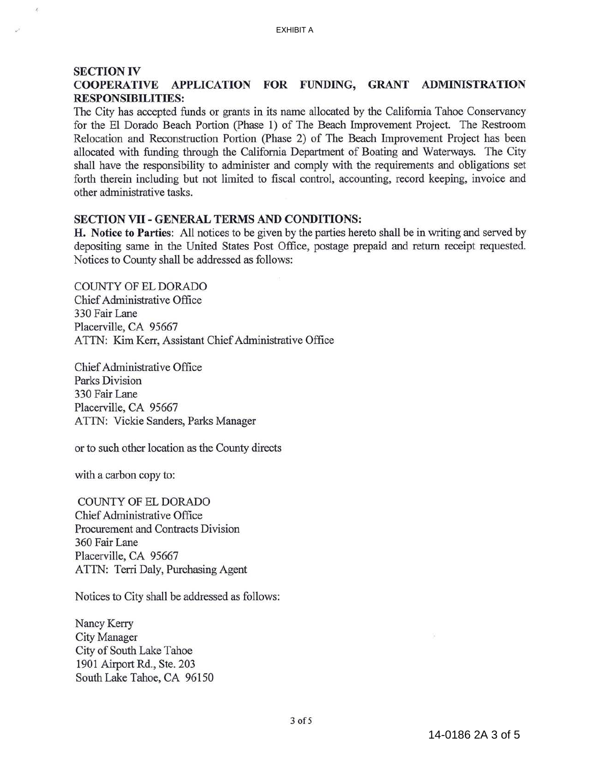#### **SECTION** IV

 $\ell$ 

# **COOPERATIVE APPLICATION FOR FUNDING, GRANT ADMINISTRATION RESPONSIBILITIES:**

The City has accepted funds or grants in its name allocated by the California Tahoe Conservancy for the El Dorado Beach Portion (Phase 1) of The Beach Improvement Project. The Restroom Relocation and Reconstruction Portion (Phase 2) of The Beach Improvement Project has been allocated with funding through the California Department of Boating and Waterways. The City shall have the responsibility to administer and comply with the requirements and obligations set forth therein including but not limited to fiscal control, accounting, record keeping, invoice and other administrative tasks.

#### **SECTION VII- GENERAL TERMS AND CONDITIONS:**

**H. Notice to Parties:** All notices to be given by the parties hereto shall be in writing and served by depositing same in the United States Post Office, postage prepaid and return receipt requested. Notices to County shall be addressed as follows:

COUNTY OF ELDORADO Chief Administrative Office 330 Fair Lane Placerville, CA 95667 ATTN: Kim Kerr, Assistant Chief Administrative Office

Chief Administrative Office Parks Division 330 Fair Lane Placerville, CA 95667 ATTN: Vickie Sanders, Parks Manager

or to such other location as the County directs

with a carbon copy to:

COUNTY OF ELDORADO Chief Administrative Office Procurement and Contracts Division 360 Fair Lane Placerville, CA 95667 ATTN: Terri Daly, Purchasing Agent

Notices to City shall be addressed as follows:

Nancy Kerry City Manager City of South Lake Tahoe 1901 Airport Rd., Ste. 203 South Lake Tahoe, CA 96150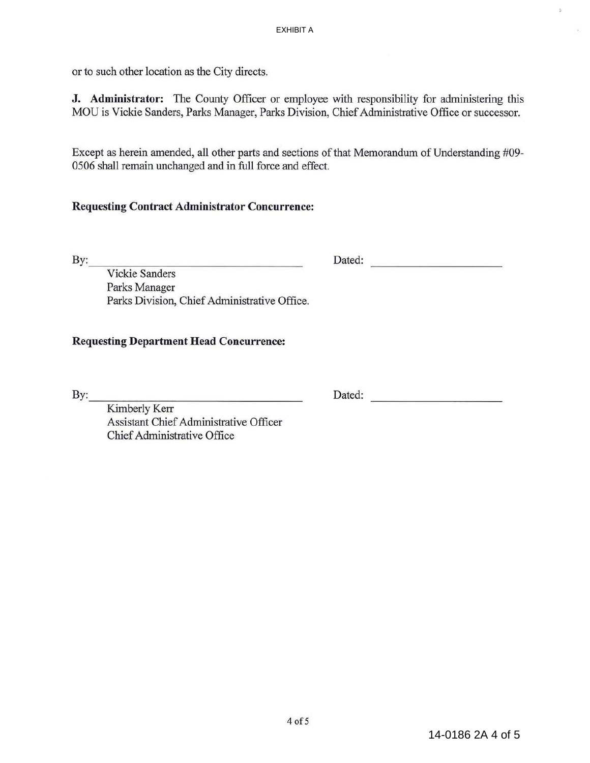or to such other location as the City directs.

**J. Administrator:** The County Officer or employee with responsibility for administering this MOU is Vickie Sanders, Parks Manager, Parks Division, Chief Administrative Office or successor.

Except as herein amended, all other parts and sections of that Memorandum of Understanding #09- 0506 shall remain unchanged and in full force and effect.

## **Requesting Contract Administrator Concurrence:**

By:

Dated: **Dated:** 

ÿ,

Vickie Sanders Parks Manager Parks Division, Chief Administrative Office.

# **Requesting Department Head Concurrence:**

 $By:$ 

Dated:

----------------------------------Kimberly Kerr Assistant Chief Administrative Officer Chief Administrative Office